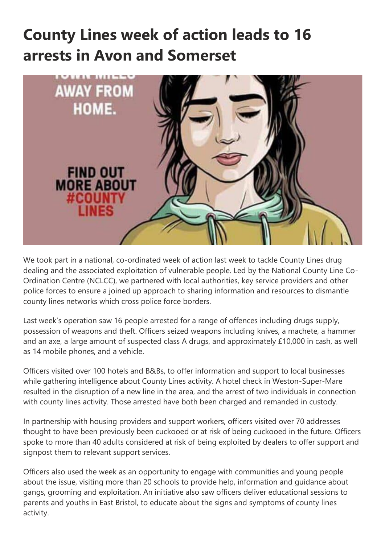## **County Lines week of action leads to 16 arrests in Avon and Somerset**



We took part in a national, co-ordinated week of action last week to tackle County Lines drug dealing and the associated exploitation of vulnerable people. Led by the National County Line Co-Ordination Centre (NCLCC), we partnered with local authorities, key service providers and other police forces to ensure a joined up approach to sharing information and resources to dismantle county lines networks which cross police force borders.

Last week's operation saw 16 people arrested for a range of offences including drugs supply, possession of weapons and theft. Officers seized weapons including knives, a machete, a hammer and an axe, a large amount of suspected class A drugs, and approximately £10,000 in cash, as well as 14 mobile phones, and a vehicle.

Officers visited over 100 hotels and B&Bs, to offer information and support to local businesses while gathering intelligence about County Lines activity. A hotel check in Weston-Super-Mare resulted in the disruption of a new line in the area, and the arrest of two individuals in connection with county lines activity. Those arrested have both been charged and remanded in custody.

In partnership with housing providers and support workers, officers visited over 70 addresses thought to have been previously been cuckooed or at risk of being cuckooed in the future. Officers spoke to more than 40 adults considered at risk of being exploited by dealers to offer support and signpost them to relevant support services.

Officers also used the week as an opportunity to engage with communities and young people about the issue, visiting more than 20 schools to provide help, information and guidance about gangs, grooming and exploitation. An initiative also saw officers deliver educational sessions to parents and youths in East Bristol, to educate about the signs and symptoms of county lines activity.